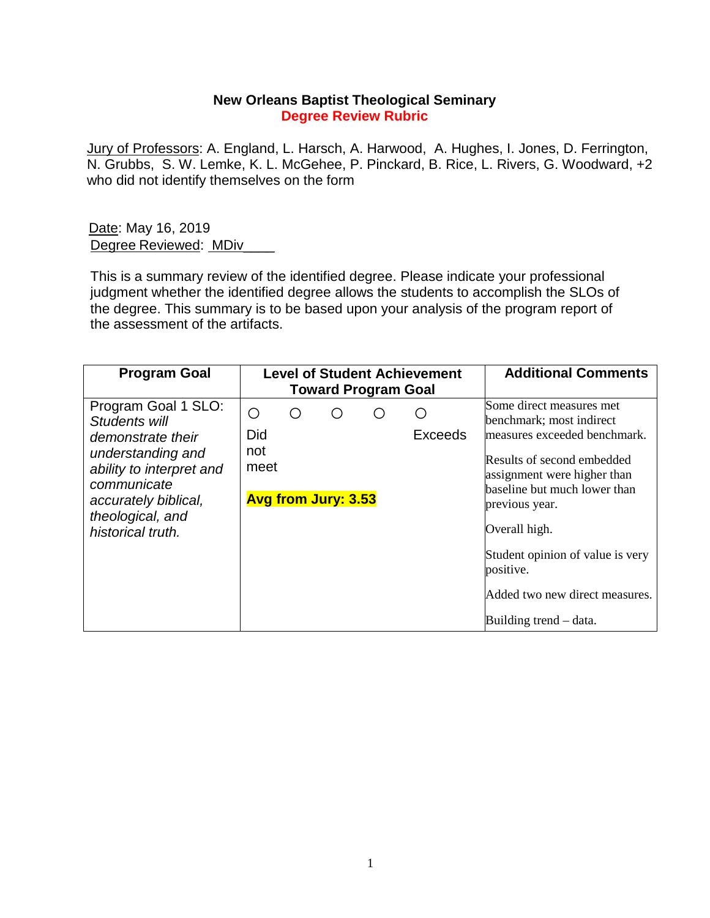## **New Orleans Baptist Theological Seminary Degree Review Rubric**

Jury of Professors: A. England, L. Harsch, A. Harwood, A. Hughes, I. Jones, D. Ferrington, N. Grubbs, S. W. Lemke, K. L. McGehee, P. Pinckard, B. Rice, L. Rivers, G. Woodward, +2 who did not identify themselves on the form

Date: May 16, 2019 Degree Reviewed: MDiv

This is a summary review of the identified degree. Please indicate your professional judgment whether the identified degree allows the students to accomplish the SLOs of the degree. This summary is to be based upon your analysis of the program report of the assessment of the artifacts.

| <b>Program Goal</b>                                                                                                                                                                        |                         |     | <b>Level of Student Achievement</b><br><b>Toward Program Goal</b> |   | <b>Additional Comments</b> |                                                                                                                                                                                                                                                                                                                                   |
|--------------------------------------------------------------------------------------------------------------------------------------------------------------------------------------------|-------------------------|-----|-------------------------------------------------------------------|---|----------------------------|-----------------------------------------------------------------------------------------------------------------------------------------------------------------------------------------------------------------------------------------------------------------------------------------------------------------------------------|
| Program Goal 1 SLO:<br>Students will<br>demonstrate their<br>understanding and<br>ability to interpret and<br>communicate<br>accurately biblical,<br>theological, and<br>historical truth. | O<br>Did<br>not<br>meet | ( ) | <b>Avg from Jury: 3.53</b>                                        | ( | ()<br><b>Exceeds</b>       | Some direct measures met<br>benchmark; most indirect<br>measures exceeded benchmark.<br>Results of second embedded<br>assignment were higher than<br>baseline but much lower than<br>previous year.<br>Overall high.<br>Student opinion of value is very<br>positive.<br>Added two new direct measures.<br>Building trend – data. |